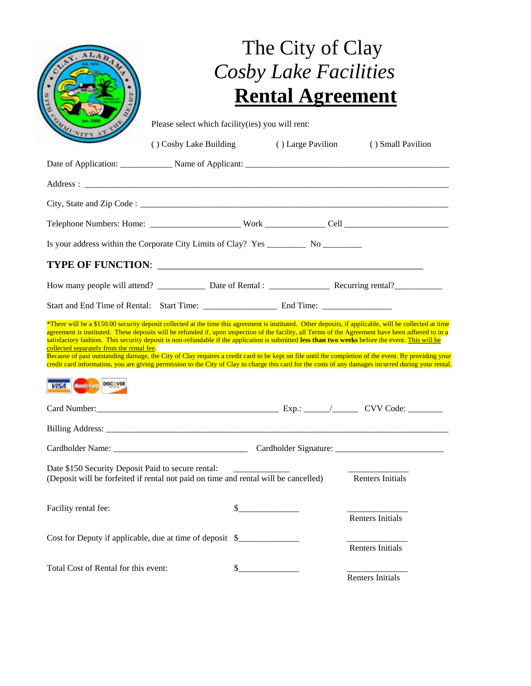|                                                                                                                                                                                                                                                                                                                                                                                                                                                                                                                                                                                                                                                                                                                                                                                                                               | The City of Clay<br><b>Cosby Lake Facilities</b>                                             |  |                         |  |
|-------------------------------------------------------------------------------------------------------------------------------------------------------------------------------------------------------------------------------------------------------------------------------------------------------------------------------------------------------------------------------------------------------------------------------------------------------------------------------------------------------------------------------------------------------------------------------------------------------------------------------------------------------------------------------------------------------------------------------------------------------------------------------------------------------------------------------|----------------------------------------------------------------------------------------------|--|-------------------------|--|
|                                                                                                                                                                                                                                                                                                                                                                                                                                                                                                                                                                                                                                                                                                                                                                                                                               | <b>Rental Agreement</b>                                                                      |  |                         |  |
|                                                                                                                                                                                                                                                                                                                                                                                                                                                                                                                                                                                                                                                                                                                                                                                                                               | Please select which facility(ies) you will rent:<br>() Cosby Lake Building () Large Pavilion |  | () Small Pavilion       |  |
| Date of Application: Name of Applicant: Name of Applicant:                                                                                                                                                                                                                                                                                                                                                                                                                                                                                                                                                                                                                                                                                                                                                                    |                                                                                              |  |                         |  |
|                                                                                                                                                                                                                                                                                                                                                                                                                                                                                                                                                                                                                                                                                                                                                                                                                               |                                                                                              |  |                         |  |
|                                                                                                                                                                                                                                                                                                                                                                                                                                                                                                                                                                                                                                                                                                                                                                                                                               |                                                                                              |  |                         |  |
|                                                                                                                                                                                                                                                                                                                                                                                                                                                                                                                                                                                                                                                                                                                                                                                                                               |                                                                                              |  |                         |  |
|                                                                                                                                                                                                                                                                                                                                                                                                                                                                                                                                                                                                                                                                                                                                                                                                                               |                                                                                              |  |                         |  |
|                                                                                                                                                                                                                                                                                                                                                                                                                                                                                                                                                                                                                                                                                                                                                                                                                               |                                                                                              |  |                         |  |
|                                                                                                                                                                                                                                                                                                                                                                                                                                                                                                                                                                                                                                                                                                                                                                                                                               |                                                                                              |  |                         |  |
|                                                                                                                                                                                                                                                                                                                                                                                                                                                                                                                                                                                                                                                                                                                                                                                                                               |                                                                                              |  |                         |  |
| *There will be a \$150.00 security deposit collected at the time this agreement is instituted. Other deposits, if applicable, will be collected at time<br>agreement is instituted. These deposits will be refunded if, upon inspection of the facility, all Terms of the Agreement have been adhered to in a<br>satisfactory fashion. This security deposit is non-refundable if the application is submitted less than two weeks before the event. This will be<br>collected separately from the rental fee.<br>Because of past outstanding damage, the City of Clay requires a credit card to be kept on file until the completion of the event. By providing your<br>credit card information, you are giving permission to the City of Clay to charge this card for the costs of any damages incurred during your rental. |                                                                                              |  |                         |  |
| VISA Mastercard DISC VER                                                                                                                                                                                                                                                                                                                                                                                                                                                                                                                                                                                                                                                                                                                                                                                                      |                                                                                              |  |                         |  |
| Card Number: Carl Number: CVV Code: CVV Code: CVV Code: CVV Code: CVV Code: CVV Code: CVV Code: CVV Code: CVV Code: CUV Code: CUV Code: CUV Code: CUV Code: CUV Code: CUV Code: CUV Code: CUV Code: CUV Code: CUV Code: CUV Co                                                                                                                                                                                                                                                                                                                                                                                                                                                                                                                                                                                                |                                                                                              |  |                         |  |
|                                                                                                                                                                                                                                                                                                                                                                                                                                                                                                                                                                                                                                                                                                                                                                                                                               |                                                                                              |  |                         |  |
|                                                                                                                                                                                                                                                                                                                                                                                                                                                                                                                                                                                                                                                                                                                                                                                                                               |                                                                                              |  |                         |  |
| Date \$150 Security Deposit Paid to secure rental:<br>(Deposit will be forfeited if rental not paid on time and rental will be cancelled)                                                                                                                                                                                                                                                                                                                                                                                                                                                                                                                                                                                                                                                                                     |                                                                                              |  | <b>Renters Initials</b> |  |
| Facility rental fee:                                                                                                                                                                                                                                                                                                                                                                                                                                                                                                                                                                                                                                                                                                                                                                                                          | \$                                                                                           |  | Renters Initials        |  |
| Cost for Deputy if applicable, due at time of deposit \$                                                                                                                                                                                                                                                                                                                                                                                                                                                                                                                                                                                                                                                                                                                                                                      |                                                                                              |  | <b>Renters Initials</b> |  |
| Total Cost of Rental for this event:                                                                                                                                                                                                                                                                                                                                                                                                                                                                                                                                                                                                                                                                                                                                                                                          | $\frac{\text{S}}{\text{S}}$                                                                  |  | Renters Initials        |  |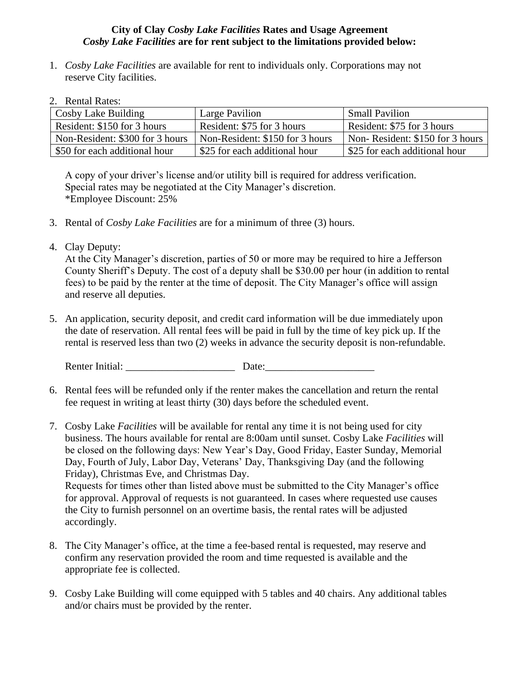## **City of Clay** *Cosby Lake Facilities* **Rates and Usage Agreement** *Cosby Lake Facilities* **are for rent subject to the limitations provided below:**

- 1. *Cosby Lake Facilities* are available for rent to individuals only. Corporations may not reserve City facilities.
- 2. Rental Rates:

| Cosby Lake Building             | Large Pavilion                  | <b>Small Pavilion</b>           |
|---------------------------------|---------------------------------|---------------------------------|
| Resident: \$150 for 3 hours     | Resident: \$75 for 3 hours      | Resident: \$75 for 3 hours      |
| Non-Resident: \$300 for 3 hours | Non-Resident: \$150 for 3 hours | Non-Resident: \$150 for 3 hours |
| \$50 for each additional hour   | \$25 for each additional hour   | \$25 for each additional hour   |

A copy of your driver's license and/or utility bill is required for address verification. Special rates may be negotiated at the City Manager's discretion. \*Employee Discount: 25%

- 3. Rental of *Cosby Lake Facilities* are for a minimum of three (3) hours.
- 4. Clay Deputy:

At the City Manager's discretion, parties of 50 or more may be required to hire a Jefferson County Sheriff's Deputy. The cost of a deputy shall be \$30.00 per hour (in addition to rental fees) to be paid by the renter at the time of deposit. The City Manager's office will assign and reserve all deputies.

5. An application, security deposit, and credit card information will be due immediately upon the date of reservation. All rental fees will be paid in full by the time of key pick up. If the rental is reserved less than two (2) weeks in advance the security deposit is non-refundable.

Renter Initial: \_\_\_\_\_\_\_\_\_\_\_\_\_\_\_\_\_\_\_\_\_ Date:\_\_\_\_\_\_\_\_\_\_\_\_\_\_\_\_\_\_\_\_\_

- 6. Rental fees will be refunded only if the renter makes the cancellation and return the rental fee request in writing at least thirty (30) days before the scheduled event.
- 7. Cosby Lake *Facilities* will be available for rental any time it is not being used for city business. The hours available for rental are 8:00am until sunset. Cosby Lake *Facilities* will be closed on the following days: New Year's Day, Good Friday, Easter Sunday, Memorial Day, Fourth of July, Labor Day, Veterans' Day, Thanksgiving Day (and the following Friday), Christmas Eve, and Christmas Day. Requests for times other than listed above must be submitted to the City Manager's office for approval. Approval of requests is not guaranteed. In cases where requested use causes the City to furnish personnel on an overtime basis, the rental rates will be adjusted accordingly.
- 8. The City Manager's office, at the time a fee-based rental is requested, may reserve and confirm any reservation provided the room and time requested is available and the appropriate fee is collected.
- 9. Cosby Lake Building will come equipped with 5 tables and 40 chairs. Any additional tables and/or chairs must be provided by the renter.